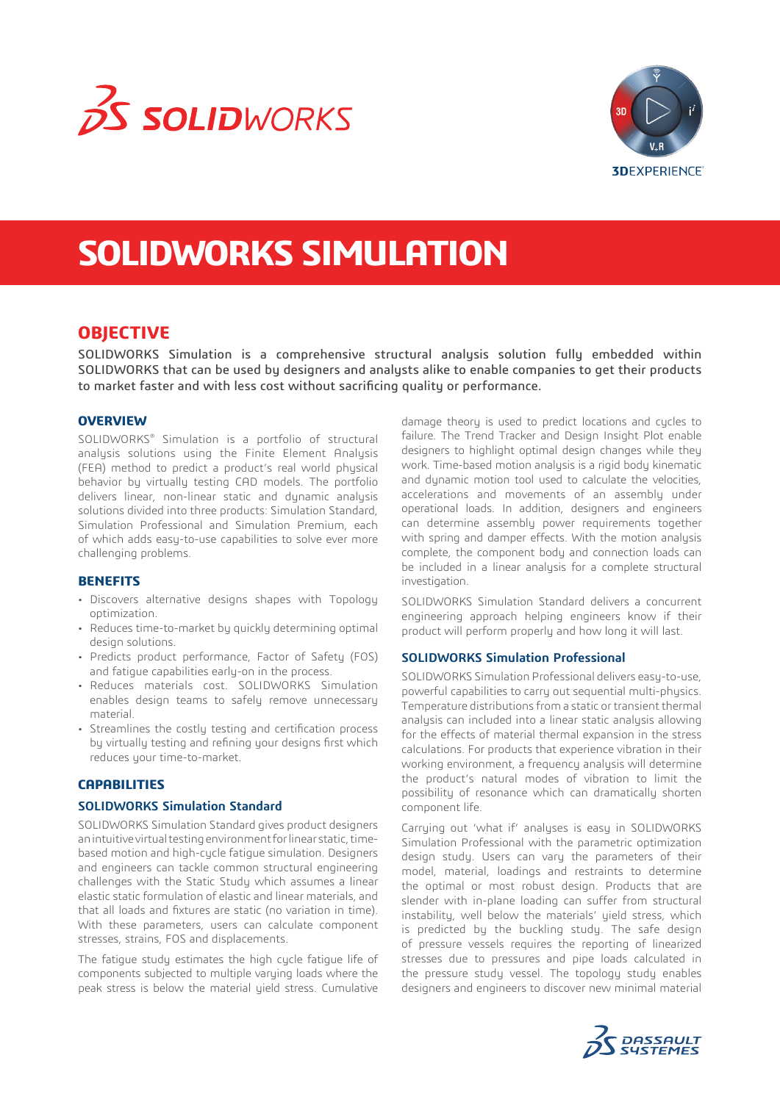



# **SOLIDWORKS SIMULATION**

## **OBJECTIVE**

SOLIDWORKS Simulation is a comprehensive structural analysis solution fully embedded within SOLIDWORKS that can be used by designers and analysts alike to enable companies to get their products to market faster and with less cost without sacrificing quality or performance.

## **OVERVIEW**

SOLIDWORKS® Simulation is a portfolio of structural analusis solutions using the Finite Element Analysis (FEA) method to predict a product's real world physical behavior by virtually testing CAD models. The portfolio delivers linear, non-linear static and dynamic analysis solutions divided into three products: Simulation Standard, Simulation Professional and Simulation Premium, each of which adds easy-to-use capabilities to solve ever more challenging problems.

#### **BENEFITS**

- Discovers alternative designs shapes with Topology optimization.
- Reduces time-to-market by quickly determining optimal design solutions.
- Predicts product performance, Factor of Safety (FOS) and fatigue capabilities early-on in the process.
- Reduces materials cost. SOLIDWORKS Simulation enables design teams to safely remove unnecessary material.
- Streamlines the costly testing and certification process by virtually testing and refining your designs first which reduces your time-to-market.

## **CAPABILITIES**

#### **SOLIDWORKS Simulation Standard**

SOLIDWORKS Simulation Standard gives product designers an intuitive virtual testing environment for linear static, timebased motion and high-cycle fatigue simulation. Designers and engineers can tackle common structural engineering challenges with the Static Study which assumes a linear elastic static formulation of elastic and linear materials, and that all loads and fixtures are static (no variation in time). With these parameters, users can calculate component stresses, strains, FOS and displacements.

The fatigue study estimates the high cycle fatigue life of components subjected to multiple varying loads where the peak stress is below the material yield stress. Cumulative

damage theory is used to predict locations and cycles to failure. The Trend Tracker and Design Insight Plot enable designers to highlight optimal design changes while they work. Time-based motion analysis is a rigid body kinematic and dynamic motion tool used to calculate the velocities, accelerations and movements of an assembly under operational loads. In addition, designers and engineers can determine assembly power requirements together with spring and damper effects. With the motion analysis complete, the component body and connection loads can be included in a linear analysis for a complete structural investigation.

SOLIDWORKS Simulation Standard delivers a concurrent engineering approach helping engineers know if their product will perform properly and how long it will last.

### **SOLIDWORKS Simulation Professional**

SOLIDWORKS Simulation Professional delivers easy-to-use, powerful capabilities to carry out sequential multi-physics. Temperature distributions from a static or transient thermal analysis can included into a linear static analysis allowing for the effects of material thermal expansion in the stress calculations. For products that experience vibration in their working environment, a frequency analysis will determine the product's natural modes of vibration to limit the possibility of resonance which can dramatically shorten component life.

Carrying out 'what if' analyses is easy in SOLIDWORKS Simulation Professional with the parametric optimization design study. Users can vary the parameters of their model, material, loadings and restraints to determine the optimal or most robust design. Products that are slender with in-plane loading can suffer from structural instability, well below the materials' yield stress, which is predicted by the buckling study. The safe design of pressure vessels requires the reporting of linearized stresses due to pressures and pipe loads calculated in the pressure study vessel. The topology study enables designers and engineers to discover new minimal material